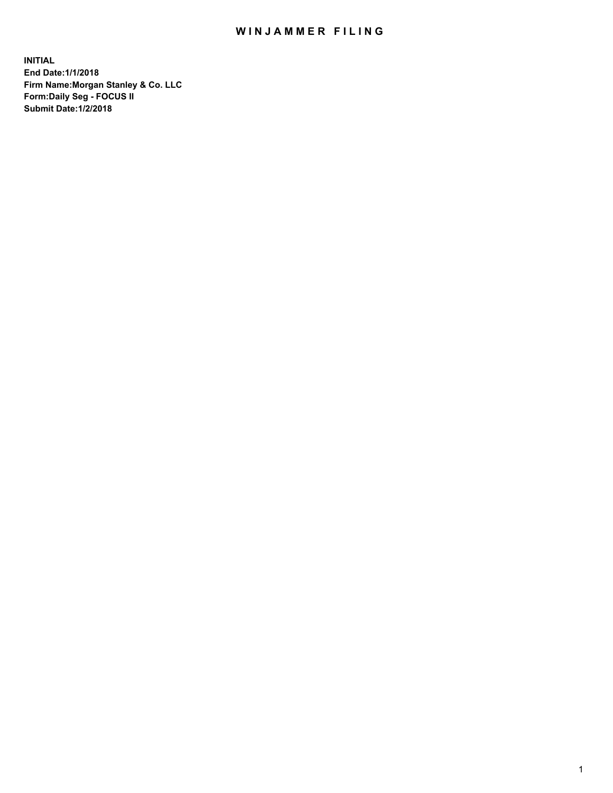## WIN JAMMER FILING

**INITIAL End Date:1/1/2018 Firm Name:Morgan Stanley & Co. LLC Form:Daily Seg - FOCUS II Submit Date:1/2/2018**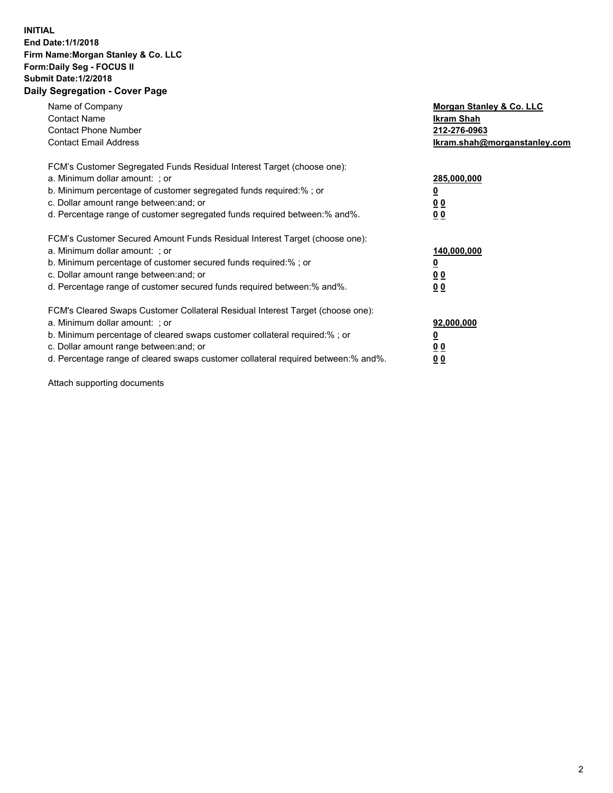## **INITIAL End Date:1/1/2018 Firm Name:Morgan Stanley & Co. LLC Form:Daily Seg - FOCUS II Submit Date:1/2/2018 Daily Segregation - Cover Page**

| Name of Company<br><b>Contact Name</b><br><b>Contact Phone Number</b><br><b>Contact Email Address</b>                                                                                                                                                                                                                         | Morgan Stanley & Co. LLC<br>Ikram Shah<br>212-276-0963<br>lkram.shah@morganstanley.com |
|-------------------------------------------------------------------------------------------------------------------------------------------------------------------------------------------------------------------------------------------------------------------------------------------------------------------------------|----------------------------------------------------------------------------------------|
| FCM's Customer Segregated Funds Residual Interest Target (choose one):<br>a. Minimum dollar amount: ; or<br>b. Minimum percentage of customer segregated funds required:%; or<br>c. Dollar amount range between: and; or<br>d. Percentage range of customer segregated funds required between:% and%.                         | 285,000,000<br>0 <sub>0</sub><br>00                                                    |
| FCM's Customer Secured Amount Funds Residual Interest Target (choose one):<br>a. Minimum dollar amount: ; or<br>b. Minimum percentage of customer secured funds required:%; or<br>c. Dollar amount range between: and; or<br>d. Percentage range of customer secured funds required between:% and%.                           | 140,000,000<br>0 <sub>0</sub><br>0 <sub>0</sub>                                        |
| FCM's Cleared Swaps Customer Collateral Residual Interest Target (choose one):<br>a. Minimum dollar amount: ; or<br>b. Minimum percentage of cleared swaps customer collateral required:%; or<br>c. Dollar amount range between: and; or<br>d. Percentage range of cleared swaps customer collateral required between:% and%. | 92,000,000<br>0 <sub>0</sub><br><u>00</u>                                              |

Attach supporting documents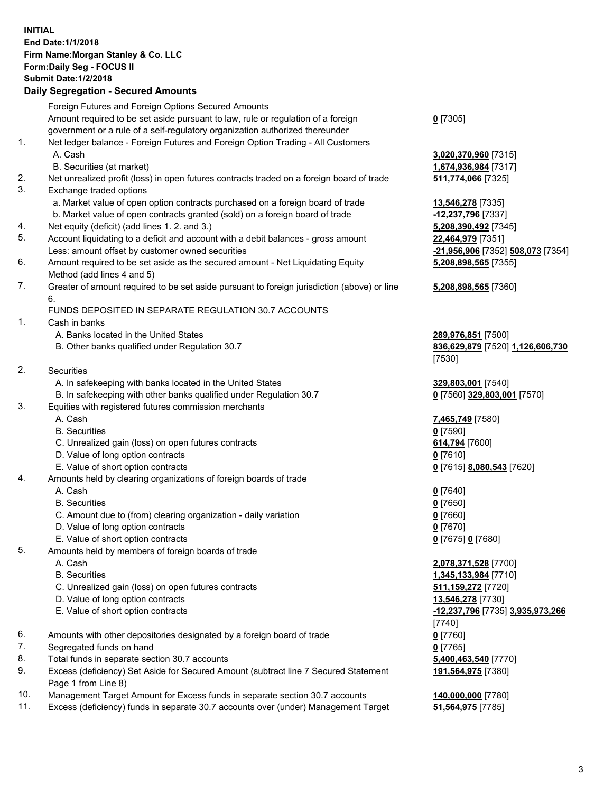## **INITIAL End Date:1/1/2018 Firm Name:Morgan Stanley & Co. LLC Form:Daily Seg - FOCUS II Submit Date:1/2/2018 Daily Segregation - Secured Amounts**

Foreign Futures and Foreign Options Secured Amounts Amount required to be set aside pursuant to law, rule or regulation of a foreign government or a rule of a self-regulatory organization authorized thereunder 1. Net ledger balance - Foreign Futures and Foreign Option Trading - All Customers A. Cash **3,020,370,960** [7315] B. Securities (at market) **1,674,936,984** [7317] 2. Net unrealized profit (loss) in open futures contracts traded on a foreign board of trade **511,774,066** [7325] 3. Exchange traded options a. Market value of open option contracts purchased on a foreign board of trade **13,546,278** [7335] b. Market value of open contracts granted (sold) on a foreign board of trade **-12,237,796** [7337] 4. Net equity (deficit) (add lines 1. 2. and 3.) **5,208,390,492** [7345] 5. Account liquidating to a deficit and account with a debit balances - gross amount **22,464,979** [7351] Less: amount offset by customer owned securities **-21,956,906** [7352] **508,073** [7354] 6. Amount required to be set aside as the secured amount - Net Liquidating Equity Method (add lines 4 and 5) 7. Greater of amount required to be set aside pursuant to foreign jurisdiction (above) or line 6. FUNDS DEPOSITED IN SEPARATE REGULATION 30.7 ACCOUNTS 1. Cash in banks A. Banks located in the United States **289,976,851** [7500] B. Other banks qualified under Regulation 30.7 **836,629,879** [7520] **1,126,606,730** [7530] 2. Securities A. In safekeeping with banks located in the United States **329,803,001** [7540] B. In safekeeping with other banks qualified under Regulation 30.7 **0** [7560] **329,803,001** [7570] 3. Equities with registered futures commission merchants A. Cash **7,465,749** [7580] B. Securities **0** [7590] C. Unrealized gain (loss) on open futures contracts **614,794** [7600] D. Value of long option contracts **0** [7610] E. Value of short option contracts **0** [7615] **8,080,543** [7620] 4. Amounts held by clearing organizations of foreign boards of trade A. Cash **0** [7640] B. Securities **0** [7650] C. Amount due to (from) clearing organization - daily variation **0** [7660] D. Value of long option contracts **0** [7670] E. Value of short option contracts **0** [7675] **0** [7680] 5. Amounts held by members of foreign boards of trade A. Cash **2,078,371,528** [7700] B. Securities **1,345,133,984** [7710] C. Unrealized gain (loss) on open futures contracts **511,159,272** [7720] D. Value of long option contracts **13,546,278** [7730] E. Value of short option contracts **-12,237,796** [7735] **3,935,973,266** [7740] 6. Amounts with other depositories designated by a foreign board of trade **0** [7760] 7. Segregated funds on hand **0** [7765]

8. Total funds in separate section 30.7 accounts **5,400,463,540** [7770]

9. Excess (deficiency) Set Aside for Secured Amount (subtract line 7 Secured Statement Page 1 from Line 8)

- 10. Management Target Amount for Excess funds in separate section 30.7 accounts **140,000,000** [7780]
- 11. Excess (deficiency) funds in separate 30.7 accounts over (under) Management Target **51,564,975** [7785]

**0** [7305]

**5,208,898,565** [7355]

## **5,208,898,565** [7360]

**191,564,975** [7380]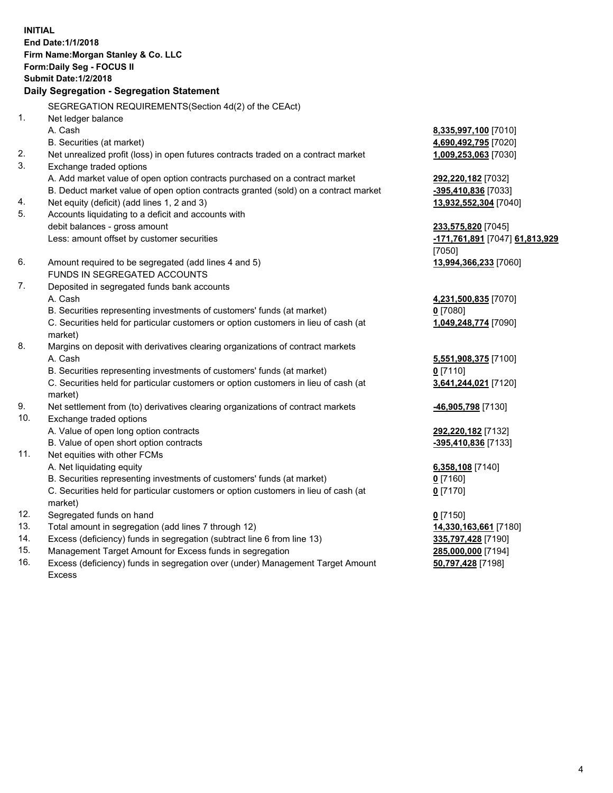**INITIAL End Date:1/1/2018 Firm Name:Morgan Stanley & Co. LLC Form:Daily Seg - FOCUS II Submit Date:1/2/2018 Daily Segregation - Segregation Statement** SEGREGATION REQUIREMENTS(Section 4d(2) of the CEAct) 1. Net ledger balance A. Cash **8,335,997,100** [7010] B. Securities (at market) **4,690,492,795** [7020] 2. Net unrealized profit (loss) in open futures contracts traded on a contract market **1,009,253,063** [7030] 3. Exchange traded options A. Add market value of open option contracts purchased on a contract market **292,220,182** [7032] B. Deduct market value of open option contracts granted (sold) on a contract market **-395,410,836** [7033] 4. Net equity (deficit) (add lines 1, 2 and 3) **13,932,552,304** [7040] 5. Accounts liquidating to a deficit and accounts with debit balances - gross amount **233,575,820** [7045] Less: amount offset by customer securities **-171,761,891** [7047] **61,813,929** [7050] 6. Amount required to be segregated (add lines 4 and 5) **13,994,366,233** [7060] FUNDS IN SEGREGATED ACCOUNTS 7. Deposited in segregated funds bank accounts A. Cash **4,231,500,835** [7070] B. Securities representing investments of customers' funds (at market) **0** [7080] C. Securities held for particular customers or option customers in lieu of cash (at market) **1,049,248,774** [7090] 8. Margins on deposit with derivatives clearing organizations of contract markets A. Cash **5,551,908,375** [7100] B. Securities representing investments of customers' funds (at market) **0** [7110] C. Securities held for particular customers or option customers in lieu of cash (at market) **3,641,244,021** [7120] 9. Net settlement from (to) derivatives clearing organizations of contract markets **-46,905,798** [7130] 10. Exchange traded options A. Value of open long option contracts **292,220,182** [7132] B. Value of open short option contracts **-395,410,836** [7133] 11. Net equities with other FCMs A. Net liquidating equity **6,358,108** [7140] B. Securities representing investments of customers' funds (at market) **0** [7160] C. Securities held for particular customers or option customers in lieu of cash (at market) **0** [7170] 12. Segregated funds on hand **0** [7150] 13. Total amount in segregation (add lines 7 through 12) **14,330,163,661** [7180] 14. Excess (deficiency) funds in segregation (subtract line 6 from line 13) **335,797,428** [7190]

- 15. Management Target Amount for Excess funds in segregation **285,000,000** [7194]
- 16. Excess (deficiency) funds in segregation over (under) Management Target Amount Excess

**50,797,428** [7198]